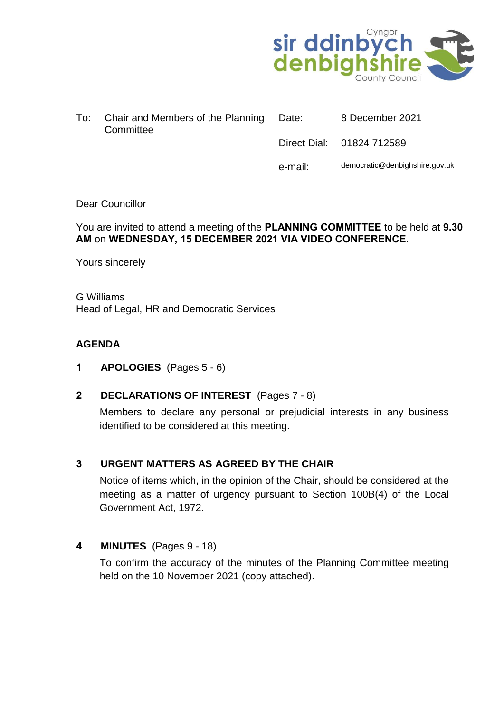

|  | To: Chair and Members of the Planning Date:<br>Committee | 8 December 2021           |
|--|----------------------------------------------------------|---------------------------|
|  |                                                          | Direct Dial: 01824 712589 |

e-mail: democratic@denbighshire.gov.uk

### Dear Councillor

#### You are invited to attend a meeting of the **PLANNING COMMITTEE** to be held at **9.30 AM** on **WEDNESDAY, 15 DECEMBER 2021 VIA VIDEO CONFERENCE**.

Yours sincerely

G Williams Head of Legal, HR and Democratic Services

### **AGENDA**

- **1 APOLOGIES** (Pages 5 6)
- **2 DECLARATIONS OF INTEREST** (Pages 7 8)

Members to declare any personal or prejudicial interests in any business identified to be considered at this meeting.

### **3 URGENT MATTERS AS AGREED BY THE CHAIR**

Notice of items which, in the opinion of the Chair, should be considered at the meeting as a matter of urgency pursuant to Section 100B(4) of the Local Government Act, 1972.

**4 MINUTES** (Pages 9 - 18)

To confirm the accuracy of the minutes of the Planning Committee meeting held on the 10 November 2021 (copy attached).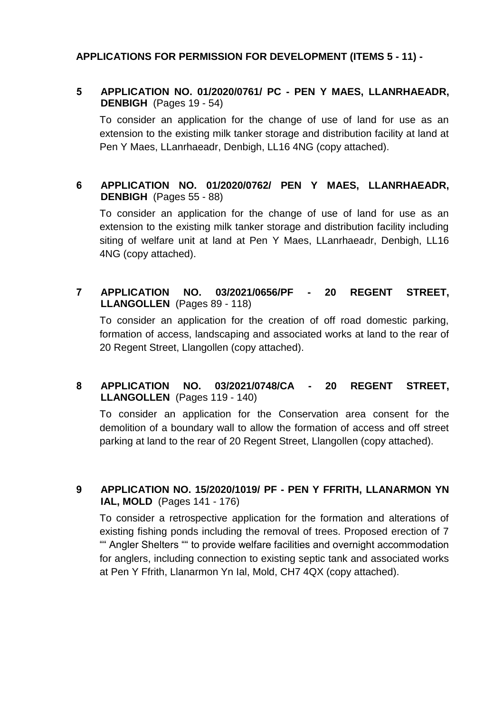## **APPLICATIONS FOR PERMISSION FOR DEVELOPMENT (ITEMS 5 - 11) -**

## **5 APPLICATION NO. 01/2020/0761/ PC - PEN Y MAES, LLANRHAEADR, DENBIGH** (Pages 19 - 54)

To consider an application for the change of use of land for use as an extension to the existing milk tanker storage and distribution facility at land at Pen Y Maes, LLanrhaeadr, Denbigh, LL16 4NG (copy attached).

# **6 APPLICATION NO. 01/2020/0762/ PEN Y MAES, LLANRHAEADR, DENBIGH** (Pages 55 - 88)

To consider an application for the change of use of land for use as an extension to the existing milk tanker storage and distribution facility including siting of welfare unit at land at Pen Y Maes, LLanrhaeadr, Denbigh, LL16 4NG (copy attached).

# **7 APPLICATION NO. 03/2021/0656/PF - 20 REGENT STREET, LLANGOLLEN** (Pages 89 - 118)

To consider an application for the creation of off road domestic parking, formation of access, landscaping and associated works at land to the rear of 20 Regent Street, Llangollen (copy attached).

## **8 APPLICATION NO. 03/2021/0748/CA - 20 REGENT STREET, LLANGOLLEN** (Pages 119 - 140)

To consider an application for the Conservation area consent for the demolition of a boundary wall to allow the formation of access and off street parking at land to the rear of 20 Regent Street, Llangollen (copy attached).

## **9 APPLICATION NO. 15/2020/1019/ PF - PEN Y FFRITH, LLANARMON YN IAL, MOLD** (Pages 141 - 176)

To consider a retrospective application for the formation and alterations of existing fishing ponds including the removal of trees. Proposed erection of 7 "" Angler Shelters "" to provide welfare facilities and overnight accommodation for anglers, including connection to existing septic tank and associated works at Pen Y Ffrith, Llanarmon Yn Ial, Mold, CH7 4QX (copy attached).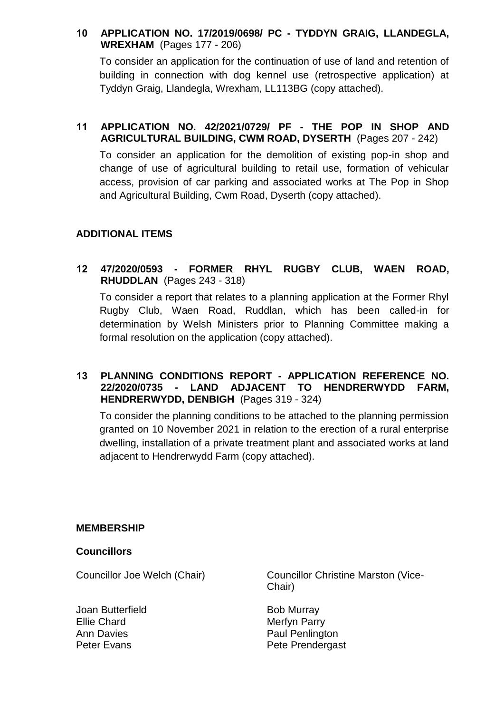# **10 APPLICATION NO. 17/2019/0698/ PC - TYDDYN GRAIG, LLANDEGLA, WREXHAM** (Pages 177 - 206)

To consider an application for the continuation of use of land and retention of building in connection with dog kennel use (retrospective application) at Tyddyn Graig, Llandegla, Wrexham, LL113BG (copy attached).

## **11 APPLICATION NO. 42/2021/0729/ PF - THE POP IN SHOP AND AGRICULTURAL BUILDING, CWM ROAD, DYSERTH** (Pages 207 - 242)

To consider an application for the demolition of existing pop-in shop and change of use of agricultural building to retail use, formation of vehicular access, provision of car parking and associated works at The Pop in Shop and Agricultural Building, Cwm Road, Dyserth (copy attached).

# **ADDITIONAL ITEMS**

**12 47/2020/0593 - FORMER RHYL RUGBY CLUB, WAEN ROAD, RHUDDLAN** (Pages 243 - 318)

To consider a report that relates to a planning application at the Former Rhyl Rugby Club, Waen Road, Ruddlan, which has been called-in for determination by Welsh Ministers prior to Planning Committee making a formal resolution on the application (copy attached).

### **13 PLANNING CONDITIONS REPORT - APPLICATION REFERENCE NO. 22/2020/0735 - LAND ADJACENT TO HENDRERWYDD FARM, HENDRERWYDD, DENBIGH** (Pages 319 - 324)

To consider the planning conditions to be attached to the planning permission granted on 10 November 2021 in relation to the erection of a rural enterprise dwelling, installation of a private treatment plant and associated works at land adjacent to Hendrerwydd Farm (copy attached).

### **MEMBERSHIP**

### **Councillors**

Joan Butterfield Ellie Chard Ann Davies Peter Evans

Councillor Joe Welch (Chair) Councillor Christine Marston (Vice-Chair)

> Bob Murray Merfyn Parry Paul Penlington Pete Prendergast